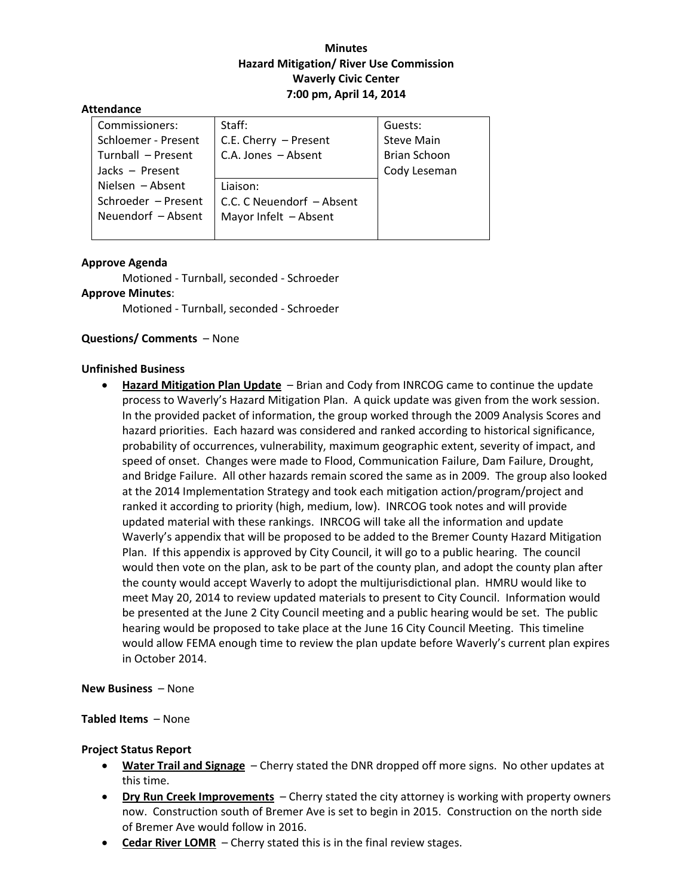# **Minutes Hazard Mitigation/ River Use Commission Waverly Civic Center 7:00 pm, April 14, 2014**

#### **Attendance**

| Commissioners:      | Staff:                    | Guests:             |
|---------------------|---------------------------|---------------------|
| Schloemer - Present | C.E. Cherry - Present     | <b>Steve Main</b>   |
| Turnball - Present  | C.A. Jones - Absent       | <b>Brian Schoon</b> |
| Jacks - Present     |                           | Cody Leseman        |
| Nielsen - Absent    | Liaison:                  |                     |
| Schroeder - Present | C.C. C Neuendorf - Absent |                     |
| Neuendorf - Absent  | Mayor Infelt - Absent     |                     |
|                     |                           |                     |

### **Approve Agenda**

Motioned ‐ Turnball, seconded ‐ Schroeder

**Approve Minutes**:

Motioned ‐ Turnball, seconded ‐ Schroeder

### **Questions/ Comments** – None

#### **Unfinished Business**

 **Hazard Mitigation Plan Update** – Brian and Cody from INRCOG came to continue the update process to Waverly's Hazard Mitigation Plan. A quick update was given from the work session. In the provided packet of information, the group worked through the 2009 Analysis Scores and hazard priorities. Each hazard was considered and ranked according to historical significance, probability of occurrences, vulnerability, maximum geographic extent, severity of impact, and speed of onset. Changes were made to Flood, Communication Failure, Dam Failure, Drought, and Bridge Failure. All other hazards remain scored the same as in 2009. The group also looked at the 2014 Implementation Strategy and took each mitigation action/program/project and ranked it according to priority (high, medium, low). INRCOG took notes and will provide updated material with these rankings. INRCOG will take all the information and update Waverly's appendix that will be proposed to be added to the Bremer County Hazard Mitigation Plan. If this appendix is approved by City Council, it will go to a public hearing. The council would then vote on the plan, ask to be part of the county plan, and adopt the county plan after the county would accept Waverly to adopt the multijurisdictional plan. HMRU would like to meet May 20, 2014 to review updated materials to present to City Council. Information would be presented at the June 2 City Council meeting and a public hearing would be set. The public hearing would be proposed to take place at the June 16 City Council Meeting. This timeline would allow FEMA enough time to review the plan update before Waverly's current plan expires in October 2014.

#### **New Business** – None

#### **Tabled Items** – None

#### **Project Status Report**

- **Water Trail and Signage**  Cherry stated the DNR dropped off more signs. No other updates at this time.
- **Dry Run Creek Improvements** Cherry stated the city attorney is working with property owners now. Construction south of Bremer Ave is set to begin in 2015. Construction on the north side of Bremer Ave would follow in 2016.
- **Cedar River LOMR** Cherry stated this is in the final review stages.